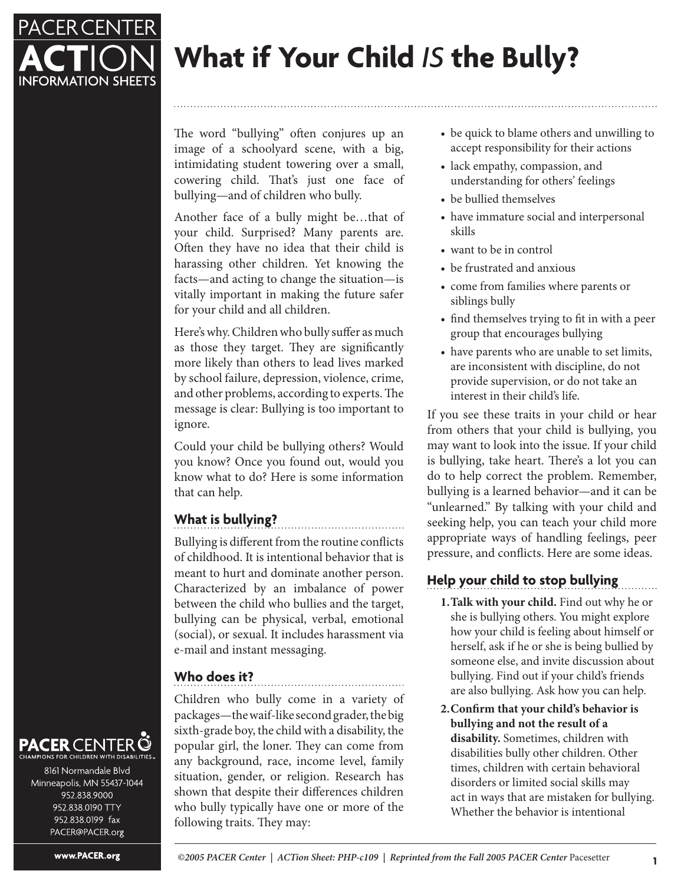

# **What if Your Child** *IS* **the Bully?**

The word "bullying" often conjures up an image of a schoolyard scene, with a big, intimidating student towering over a small, cowering child. That's just one face of bullying—and of children who bully.

Another face of a bully might be…that of your child. Surprised? Many parents are. Often they have no idea that their child is harassing other children. Yet knowing the facts—and acting to change the situation—is vitally important in making the future safer for your child and all children.

Here's why. Children who bully suffer as much as those they target. They are significantly more likely than others to lead lives marked by school failure, depression, violence, crime, and other problems, according to experts. The message is clear: Bullying is too important to ignore.

Could your child be bullying others? Would you know? Once you found out, would you know what to do? Here is some information that can help.

## **What is bullying?**

Bullying is different from the routine conflicts of childhood. It is intentional behavior that is meant to hurt and dominate another person. Characterized by an imbalance of power between the child who bullies and the target, bullying can be physical, verbal, emotional (social), or sexual. It includes harassment via e-mail and instant messaging.

## **Who does it?**

Children who bully come in a variety of packages—the waif-like second grader, the big sixth-grade boy, the child with a disability, the popular girl, the loner. They can come from any background, race, income level, family situation, gender, or religion. Research has shown that despite their differences children who bully typically have one or more of the following traits. They may:

- be quick to blame others and unwilling to accept responsibility for their actions
- lack empathy, compassion, and understanding for others' feelings
- be bullied themselves
- have immature social and interpersonal skills
- want to be in control
- be frustrated and anxious
- come from families where parents or siblings bully
- find themselves trying to fit in with a peer group that encourages bullying
- have parents who are unable to set limits, are inconsistent with discipline, do not provide supervision, or do not take an interest in their child's life.

If you see these traits in your child or hear from others that your child is bullying, you may want to look into the issue. If your child is bullying, take heart. There's a lot you can do to help correct the problem. Remember, bullying is a learned behavior—and it can be "unlearned." By talking with your child and seeking help, you can teach your child more appropriate ways of handling feelings, peer pressure, and conflicts. Here are some ideas.

## **Help your child to stop bullying**

- **1. Talk with your child.** Find out why he or she is bullying others. You might explore how your child is feeling about himself or herself, ask if he or she is being bullied by someone else, and invite discussion about bullying. Find out if your child's friends are also bullying. Ask how you can help.
- **2. Confirm that your child's behavior is bullying and not the result of a disability.** Sometimes, children with disabilities bully other children. Other times, children with certain behavioral disorders or limited social skills may act in ways that are mistaken for bullying. Whether the behavior is intentional

### **PACER** CENTER Q ONS FOR CHILDREN WITH DISABILITIES

8161 Normandale Blvd Minneapolis, MN 55437-1044 952.838.9000 952.838.0190 TTY 952.838.0199 fax PACER@PACER.org